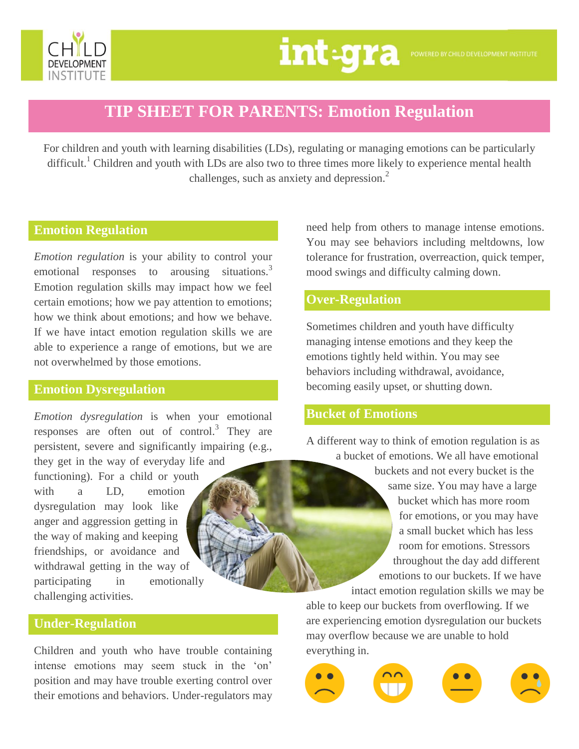

# **TIP SHEET FOR PARENTS: Emotion Regulation**

For children and youth with learning disabilities (LDs), regulating or managing emotions can be particularly difficult.<sup>1</sup> Children and youth with LDs are also two to three times more likely to experience mental health challenges, such as anxiety and depression.<sup>2</sup>

# **Emotion Regulation**

*Emotion regulation* is your ability to control your emotional responses to arousing situations.<sup>3</sup> Emotion regulation skills may impact how we feel certain emotions; how we pay attention to emotions; how we think about emotions; and how we behave. If we have intact emotion regulation skills we are able to experience a range of emotions, but we are not overwhelmed by those emotions.

#### **Emotion Dysregulation**

*Emotion dysregulation* is when your emotional responses are often out of control.<sup>3</sup> They are persistent, severe and significantly impairing (e.g.,

they get in the way of everyday life and functioning). For a child or youth with a LD, emotion dysregulation may look like anger and aggression getting in the way of making and keeping friendships, or avoidance and withdrawal getting in the way of participating in emotionally challenging activities.

**Under-Regulation**

Children and youth who have trouble containing intense emotions may seem stuck in the 'on' position and may have trouble exerting control over their emotions and behaviors. Under-regulators may

need help from others to manage intense emotions. You may see behaviors including meltdowns, low tolerance for frustration, overreaction, quick temper, mood swings and difficulty calming down.

## **Over-Regulation**

Sometimes children and youth have difficulty managing intense emotions and they keep the emotions tightly held within. You may see behaviors including withdrawal, avoidance, becoming easily upset, or shutting down.

### **Bucket of Emotions**

A different way to think of emotion regulation is as a bucket of emotions. We all have emotional

> buckets and not every bucket is the same size. You may have a large bucket which has more room for emotions, or you may have a small bucket which has less room for emotions. Stressors throughout the day add different emotions to our buckets. If we have intact emotion regulation skills we may be

able to keep our buckets from overflowing. If we are experiencing emotion dysregulation our buckets may overflow because we are unable to hold everything in.